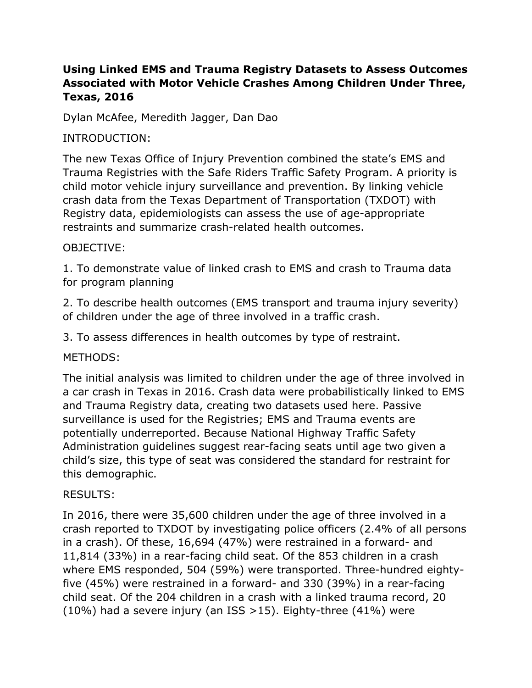# **Using Linked EMS and Trauma Registry Datasets to Assess Outcomes Associated with Motor Vehicle Crashes Among Children Under Three, Texas, 2016**

Dylan McAfee, Meredith Jagger, Dan Dao

## INTRODUCTION:

The new Texas Office of Injury Prevention combined the state's EMS and Trauma Registries with the Safe Riders Traffic Safety Program. A priority is child motor vehicle injury surveillance and prevention. By linking vehicle crash data from the Texas Department of Transportation (TXDOT) with Registry data, epidemiologists can assess the use of age-appropriate restraints and summarize crash-related health outcomes.

### OBJECTIVE:

1. To demonstrate value of linked crash to EMS and crash to Trauma data for program planning

2. To describe health outcomes (EMS transport and trauma injury severity) of children under the age of three involved in a traffic crash.

3. To assess differences in health outcomes by type of restraint.

#### METHODS:

The initial analysis was limited to children under the age of three involved in a car crash in Texas in 2016. Crash data were probabilistically linked to EMS and Trauma Registry data, creating two datasets used here. Passive surveillance is used for the Registries; EMS and Trauma events are potentially underreported. Because National Highway Traffic Safety Administration guidelines suggest rear-facing seats until age two given a child's size, this type of seat was considered the standard for restraint for this demographic.

# RESULTS:

In 2016, there were 35,600 children under the age of three involved in a crash reported to TXDOT by investigating police officers (2.4% of all persons in a crash). Of these, 16,694 (47%) were restrained in a forward- and 11,814 (33%) in a rear-facing child seat. Of the 853 children in a crash where EMS responded, 504 (59%) were transported. Three-hundred eightyfive (45%) were restrained in a forward- and 330 (39%) in a rear-facing child seat. Of the 204 children in a crash with a linked trauma record, 20 (10%) had a severe injury (an ISS >15). Eighty-three (41%) were